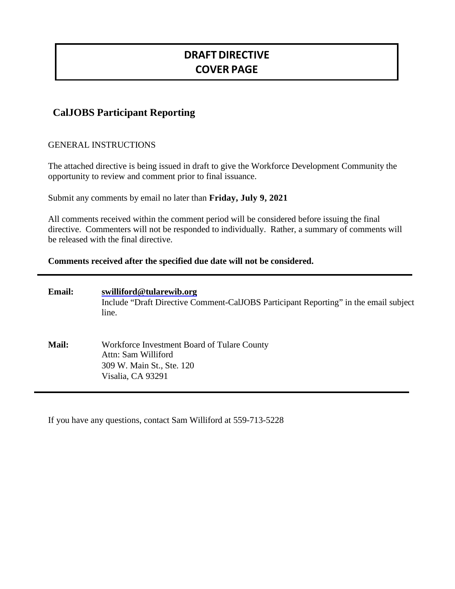# **DRAFT DIRECTIVE COVER PAGE**

# **CalJOBS Participant Reporting**

#### GENERAL INSTRUCTIONS

The attached directive is being issued in draft to give the Workforce Development Community the opportunity to review and comment prior to final issuance.

Submit any comments by email no later than **Friday, July 9, 2021**

All comments received within the comment period will be considered before issuing the final directive. Commenters will not be responded to individually. Rather, a summary of comments will be released with the final directive.

**Comments received after the specified due date will not be considered.**

| <b>Email:</b> | swilliford@tularewib.org<br>Include "Draft Directive Comment-CalJOBS Participant Reporting" in the email subject<br>line. |
|---------------|---------------------------------------------------------------------------------------------------------------------------|
| <b>Mail:</b>  | Workforce Investment Board of Tulare County<br>Attn: Sam Williford<br>309 W. Main St., Ste. 120<br>Visalia, CA 93291      |

If you have any questions, contact Sam Williford at 559-713-5228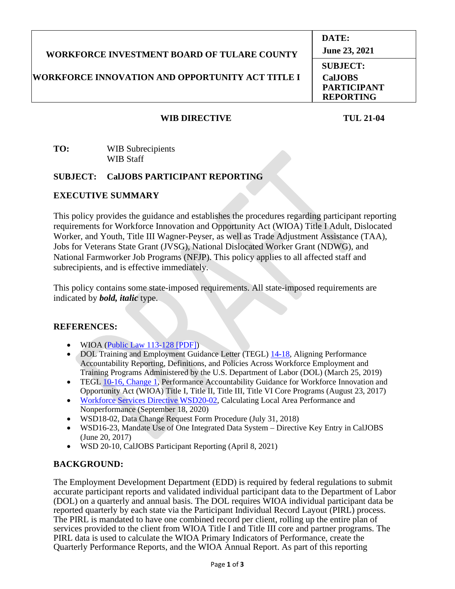| <b>WORKFORCE INVESTMENT BOARD OF TULARE COUNTY</b>      | DATE:<br>June 23, 2021                                                      |
|---------------------------------------------------------|-----------------------------------------------------------------------------|
| <b>WORKFORCE INNOVATION AND OPPORTUNITY ACT TITLE I</b> | <b>SUBJECT:</b><br><b>CalJOBS</b><br><b>PARTICIPANT</b><br><b>REPORTING</b> |

#### **WIB DIRECTIVE TUL 21-04**

#### **TO:** WIB Subrecipients WIB Staff

#### **SUBJECT: CalJOBS PARTICIPANT REPORTING**

## **EXECUTIVE SUMMARY**

This policy provides the guidance and establishes the procedures regarding participant reporting requirements for Workforce Innovation and Opportunity Act (WIOA) Title I Adult, Dislocated Worker, and Youth, Title III Wagner-Peyser, as well as Trade Adjustment Assistance (TAA), Jobs for Veterans State Grant (JVSG), National Dislocated Worker Grant (NDWG), and National Farmworker Job Programs (NFJP). This policy applies to all affected staff and subrecipients, and is effective immediately.

This policy contains some state-imposed requirements. All state-imposed requirements are indicated by *bold, italic* type.

#### **REFERENCES:**

- WIOA [\(Public Law 113-128 \[PDF\]\)](https://www.govinfo.gov/content/pkg/PLAW-113publ128/pdf/PLAW-113publ128.pdf)
- DOL Training and Employment Guidance Letter (TEGL) [14-18,](https://wdr.doleta.gov/directives/corr_doc.cfm?DOCN=7611) Aligning Performance Accountability Reporting, Definitions, and Policies Across Workforce Employment and Training Programs Administered by the U.S. Department of Labor (DOL) (March 25, 2019)
- TEGL [10-16, Change 1,](https://wdr.doleta.gov/directives/corr_doc.cfm?DOCN=3255) Performance Accountability Guidance for Workforce Innovation and Opportunity Act (WIOA) Title I, Title II, Title III, Title VI Core Programs (August 23, 2017)
- [Workforce Services Directive WSD20-02,](https://www.edd.ca.gov/jobs_and_training/Active_Directives.htm) Calculating Local Area Performance and Nonperformance (September 18, 2020)
- WSD18-02, Data Change Request Form Procedure (July 31, 2018)
- WSD16-23, Mandate Use of One Integrated Data System Directive Key Entry in CalJOBS (June 20, 2017)
- WSD 20-10, CalJOBS Participant Reporting (April 8, 2021)

# **BACKGROUND:**

The Employment Development Department (EDD) is required by federal regulations to submit accurate participant reports and validated individual participant data to the Department of Labor (DOL) on a quarterly and annual basis. The DOL requires WIOA individual participant data be reported quarterly by each state via the Participant Individual Record Layout (PIRL) process. The PIRL is mandated to have one combined record per client, rolling up the entire plan of services provided to the client from WIOA Title I and Title III core and partner programs. The PIRL data is used to calculate the WIOA Primary Indicators of Performance, create the Quarterly Performance Reports, and the WIOA Annual Report. As part of this reporting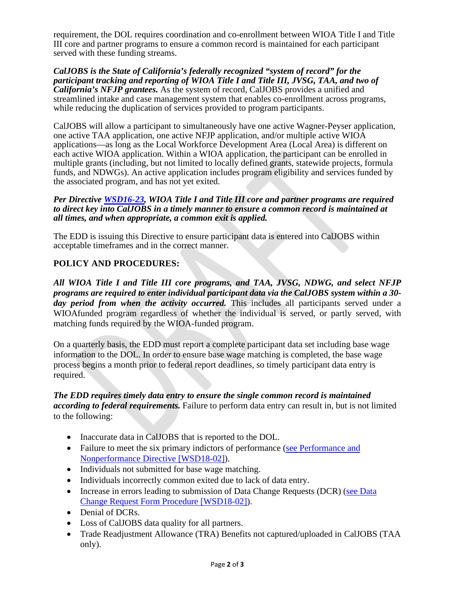requirement, the DOL requires coordination and co-enrollment between WIOA Title I and Title III core and partner programs to ensure a common record is maintained for each participant served with these funding streams.

*CalJOBS is the State of California's federally recognized "system of record" for the participant tracking and reporting of WIOA Title I and Title III, JVSG, TAA, and two of California's NFJP grantees.* As the system of record, CalJOBS provides a unified and streamlined intake and case management system that enables co-enrollment across programs, while reducing the duplication of services provided to program participants.

CalJOBS will allow a participant to simultaneously have one active Wagner-Peyser application, one active TAA application, one active NFJP application, and/or multiple active WIOA applications—as long as the Local Workforce Development Area (Local Area) is different on each active WIOA application. Within a WIOA application, the participant can be enrolled in multiple grants (including, but not limited to locally defined grants, statewide projects, formula funds, and NDWGs). An active application includes program eligibility and services funded by the associated program, and has not yet exited.

*Per Directive [WSD16-23,](https://www.edd.ca.gov/jobs_and_training/Active_Directives.htm) WIOA Title I and Title III core and partner programs are required to direct key into CalJOBS in a timely manner to ensure a common record is maintained at all times, and when appropriate, a common exit is applied.* 

The EDD is issuing this Directive to ensure participant data is entered into CalJOBS within acceptable timeframes and in the correct manner.

## **POLICY AND PROCEDURES:**

*All WIOA Title I and Title III core programs, and TAA, JVSG, NDWG, and select NFJP programs are required to enter individual participant data via the CalJOBS system within a 30 day period from when the activity occurred.* This includes all participants served under a WIOAfunded program regardless of whether the individual is served, or partly served, with matching funds required by the WIOA-funded program.

On a quarterly basis, the EDD must report a complete participant data set including base wage information to the DOL. In order to ensure base wage matching is completed, the base wage process begins a month prior to federal report deadlines, so timely participant data entry is required.

## *The EDD requires timely data entry to ensure the single common record is maintained according to federal requirements.* Failure to perform data entry can result in, but is not limited to the following:

- Inaccurate data in CalJOBS that is reported to the DOL.
- Failure to meet the six primary indictors of performance (see Performance and [Nonperformance Directive \[WSD18-02\]\)](https://www.edd.ca.gov/jobs_and_training/Active_Directives.htm).
- Individuals not submitted for base wage matching.
- Individuals incorrectly common exited due to lack of data entry.
- Increase in errors leading to submission of Data Change Requests (DCR) (see Data [Change Request Form Procedure \[WSD18-02\]\)](https://www.edd.ca.gov/jobs_and_training/Active_Directives.htm).
- Denial of DCRs.
- Loss of CalJOBS data quality for all partners.
- Trade Readjustment Allowance (TRA) Benefits not captured/uploaded in CalJOBS (TAA only).